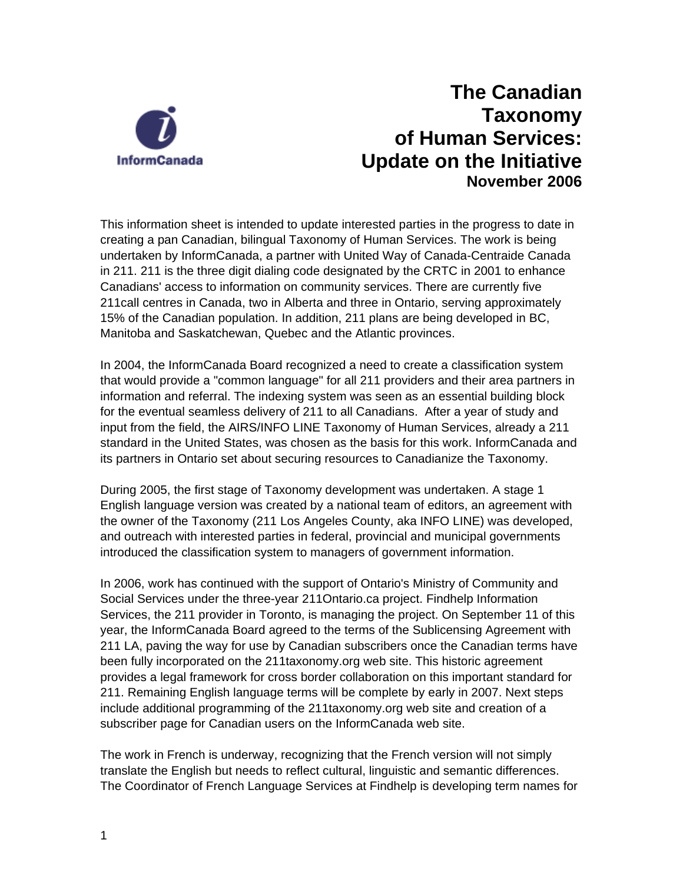

## **The Canadian Taxonomy of Human Services: Update on the Initiative November 2006**

This information sheet is intended to update interested parties in the progress to date in creating a pan Canadian, bilingual Taxonomy of Human Services. The work is being undertaken by InformCanada, a partner with United Way of Canada-Centraide Canada in 211. 211 is the three digit dialing code designated by the CRTC in 2001 to enhance Canadians' access to information on community services. There are currently five 211call centres in Canada, two in Alberta and three in Ontario, serving approximately 15% of the Canadian population. In addition, 211 plans are being developed in BC, Manitoba and Saskatchewan, Quebec and the Atlantic provinces.

In 2004, the InformCanada Board recognized a need to create a classification system that would provide a "common language" for all 211 providers and their area partners in information and referral. The indexing system was seen as an essential building block for the eventual seamless delivery of 211 to all Canadians. After a year of study and input from the field, the AIRS/INFO LINE Taxonomy of Human Services, already a 211 standard in the United States, was chosen as the basis for this work. InformCanada and its partners in Ontario set about securing resources to Canadianize the Taxonomy.

During 2005, the first stage of Taxonomy development was undertaken. A stage 1 English language version was created by a national team of editors, an agreement with the owner of the Taxonomy (211 Los Angeles County, aka INFO LINE) was developed, and outreach with interested parties in federal, provincial and municipal governments introduced the classification system to managers of government information.

In 2006, work has continued with the support of Ontario's Ministry of Community and Social Services under the three-year 211Ontario.ca project. Findhelp Information Services, the 211 provider in Toronto, is managing the project. On September 11 of this year, the InformCanada Board agreed to the terms of the Sublicensing Agreement with 211 LA, paving the way for use by Canadian subscribers once the Canadian terms have been fully incorporated on the 211taxonomy.org web site. This historic agreement provides a legal framework for cross border collaboration on this important standard for 211. Remaining English language terms will be complete by early in 2007. Next steps include additional programming of the 211taxonomy.org web site and creation of a subscriber page for Canadian users on the InformCanada web site.

The work in French is underway, recognizing that the French version will not simply translate the English but needs to reflect cultural, linguistic and semantic differences. The Coordinator of French Language Services at Findhelp is developing term names for